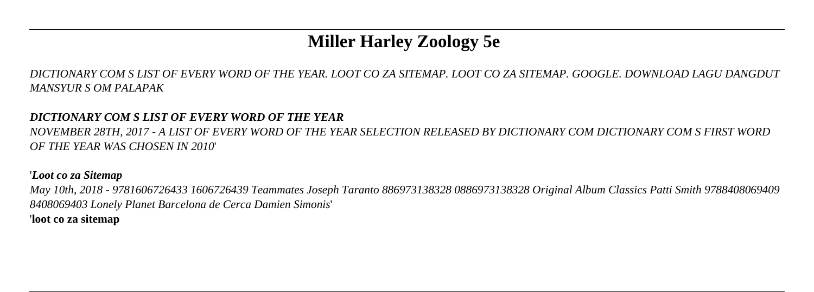# **Miller Harley Zoology 5e**

*DICTIONARY COM S LIST OF EVERY WORD OF THE YEAR. LOOT CO ZA SITEMAP. LOOT CO ZA SITEMAP. GOOGLE. DOWNLOAD LAGU DANGDUT MANSYUR S OM PALAPAK*

## *DICTIONARY COM S LIST OF EVERY WORD OF THE YEAR*

*NOVEMBER 28TH, 2017 - A LIST OF EVERY WORD OF THE YEAR SELECTION RELEASED BY DICTIONARY COM DICTIONARY COM S FIRST WORD OF THE YEAR WAS CHOSEN IN 2010*'

### '*Loot co za Sitemap*

*May 10th, 2018 - 9781606726433 1606726439 Teammates Joseph Taranto 886973138328 0886973138328 Original Album Classics Patti Smith 9788408069409 8408069403 Lonely Planet Barcelona de Cerca Damien Simonis*' '**loot co za sitemap**